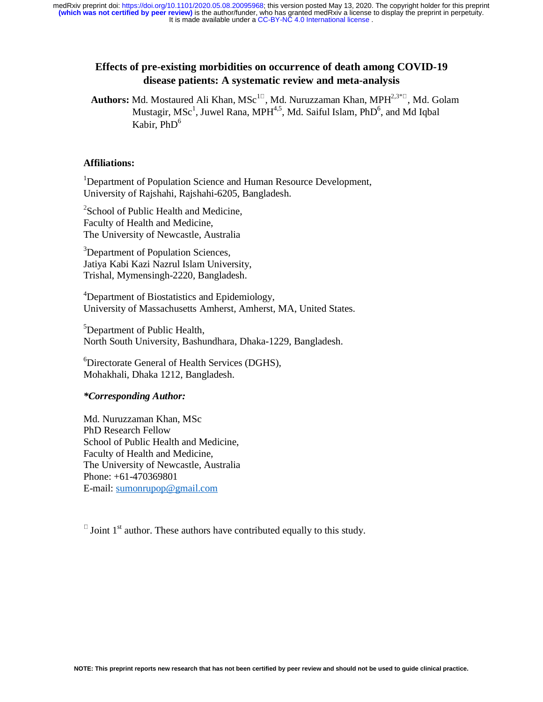# **Effects of pre-existing morbidities on occurrence of death among COVID-19 disease patients: A systematic review and meta-analysis**

Authors: Md. Mostaured Ali Khan, MSc<sup>11</sup>, Md. Nuruzzaman Khan, MPH<sup>2,3\*1</sup>, Md. Golam Mustagir, MSc<sup>1</sup>, Juwel Rana, MPH<sup>4,5</sup>, Md. Saiful Islam, PhD<sup>6</sup>, and Md Iqbal Kabir,  $PhD<sup>6</sup>$ 

### **Affiliations:**

<sup>1</sup>Department of Population Science and Human Resource Development, University of Rajshahi, Rajshahi-6205, Bangladesh.

<sup>2</sup>School of Public Health and Medicine, Faculty of Health and Medicine, The University of Newcastle, Australia

<sup>3</sup>Department of Population Sciences, Jatiya Kabi Kazi Nazrul Islam University, Trishal, Mymensingh-2220, Bangladesh.

<sup>4</sup>Department of Biostatistics and Epidemiology, University of Massachusetts Amherst, Amherst, MA, United States.

<sup>5</sup>Department of Public Health, North South University, Bashundhara, Dhaka-1229, Bangladesh.

6 Directorate General of Health Services (DGHS), Mohakhali, Dhaka 1212, Bangladesh.

# *\*Corresponding Author:*

Md. Nuruzzaman Khan, MSc PhD Research Fellow School of Public Health and Medicine, Faculty of Health and Medicine, The University of Newcastle, Australia Phone: +61-470369801 E-mail: sumonrupop@gmail.com

 $\overline{a}$  Joint 1<sup>st</sup> author. These authors have contributed equally to this study.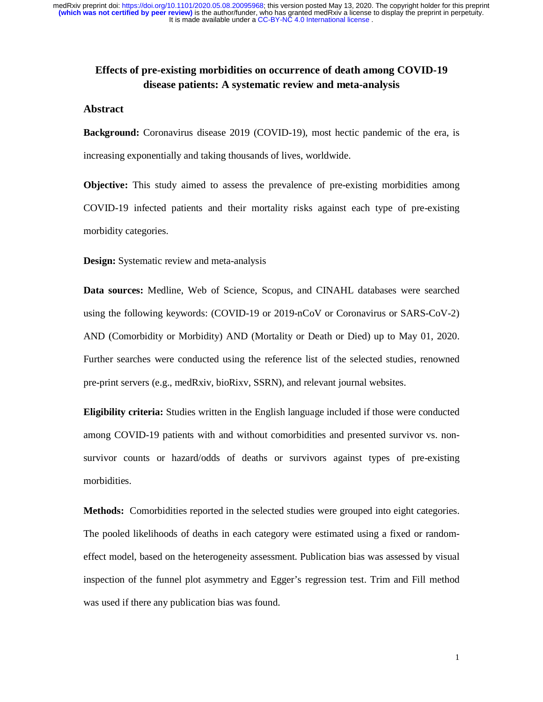# **Effects of pre-existing morbidities on occurrence of death among COVID-19 disease patients: A systematic review and meta-analysis**

# **Abstract**

**Background:** Coronavirus disease 2019 (COVID-19), most hectic pandemic of the era, is increasing exponentially and taking thousands of lives, worldwide.

**Objective:** This study aimed to assess the prevalence of pre-existing morbidities among COVID-19 infected patients and their mortality risks against each type of pre-existing morbidity categories.

**Design:** Systematic review and meta-analysis

**Data sources:** Medline, Web of Science, Scopus, and CINAHL databases were searched using the following keywords: (COVID-19 or 2019-nCoV or Coronavirus or SARS-CoV-2) AND (Comorbidity or Morbidity) AND (Mortality or Death or Died) up to May 01, 2020. Further searches were conducted using the reference list of the selected studies, renowned pre-print servers (e.g., medRxiv, bioRixv, SSRN), and relevant journal websites.

**Eligibility criteria:** Studies written in the English language included if those were conducted among COVID-19 patients with and without comorbidities and presented survivor vs. nonsurvivor counts or hazard/odds of deaths or survivors against types of pre-existing morbidities.

**Methods:** Comorbidities reported in the selected studies were grouped into eight categories. The pooled likelihoods of deaths in each category were estimated using a fixed or randomeffect model, based on the heterogeneity assessment. Publication bias was assessed by visual inspection of the funnel plot asymmetry and Egger's regression test. Trim and Fill method was used if there any publication bias was found.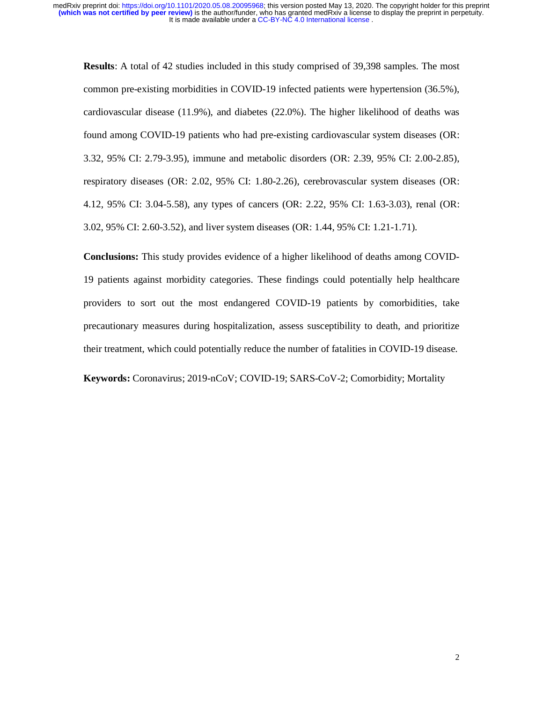**Results**: A total of 42 studies included in this study comprised of 39,398 samples. The most common pre-existing morbidities in COVID-19 infected patients were hypertension (36.5%), cardiovascular disease (11.9%), and diabetes (22.0%). The higher likelihood of deaths was found among COVID-19 patients who had pre-existing cardiovascular system diseases (OR: 3.32, 95% CI: 2.79-3.95), immune and metabolic disorders (OR: 2.39, 95% CI: 2.00-2.85), respiratory diseases (OR: 2.02, 95% CI: 1.80-2.26), cerebrovascular system diseases (OR: 4.12, 95% CI: 3.04-5.58), any types of cancers (OR: 2.22, 95% CI: 1.63-3.03), renal (OR: 3.02, 95% CI: 2.60-3.52), and liver system diseases (OR: 1.44, 95% CI: 1.21-1.71).

**Conclusions:** This study provides evidence of a higher likelihood of deaths among COVID-19 patients against morbidity categories. These findings could potentially help healthcare providers to sort out the most endangered COVID-19 patients by comorbidities, take precautionary measures during hospitalization, assess susceptibility to death, and prioritize their treatment, which could potentially reduce the number of fatalities in COVID-19 disease.

**Keywords:** Coronavirus; 2019-nCoV; COVID-19; SARS-CoV-2; Comorbidity; Mortality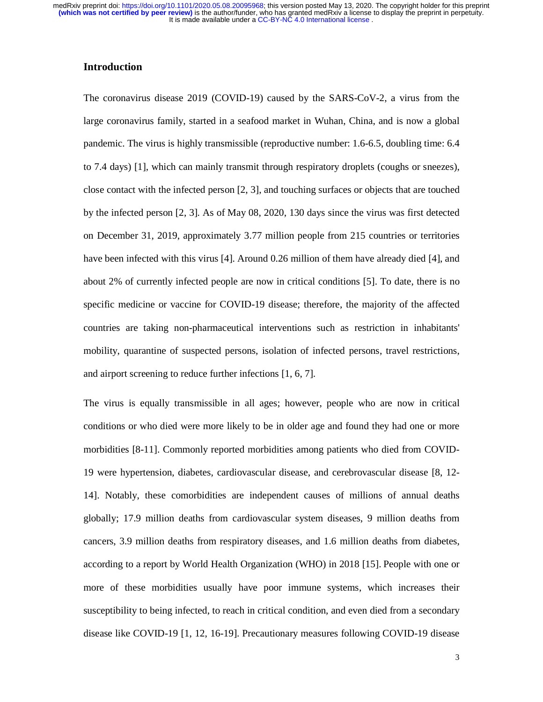# **Introduction**

The coronavirus disease 2019 (COVID-19) caused by the SARS-CoV-2, a virus from the large coronavirus family, started in a seafood market in Wuhan, China, and is now a global pandemic. The virus is highly transmissible (reproductive number: 1.6-6.5, doubling time: 6.4 to 7.4 days) [1], which can mainly transmit through respiratory droplets (coughs or sneezes), close contact with the infected person [2, 3], and touching surfaces or objects that are touched by the infected person [2, 3]. As of May 08, 2020, 130 days since the virus was first detected on December 31, 2019, approximately 3.77 million people from 215 countries or territories have been infected with this virus [4]. Around 0.26 million of them have already died [4], and about 2% of currently infected people are now in critical conditions [5]. To date, there is no specific medicine or vaccine for COVID-19 disease; therefore, the majority of the affected countries are taking non-pharmaceutical interventions such as restriction in inhabitants' mobility, quarantine of suspected persons, isolation of infected persons, travel restrictions, and airport screening to reduce further infections [1, 6, 7].

The virus is equally transmissible in all ages; however, people who are now in critical conditions or who died were more likely to be in older age and found they had one or more morbidities [8-11]. Commonly reported morbidities among patients who died from COVID-19 were hypertension, diabetes, cardiovascular disease, and cerebrovascular disease [8, 12- 14]. Notably, these comorbidities are independent causes of millions of annual deaths globally; 17.9 million deaths from cardiovascular system diseases, 9 million deaths from cancers, 3.9 million deaths from respiratory diseases, and 1.6 million deaths from diabetes, according to a report by World Health Organization (WHO) in 2018 [15]. People with one or more of these morbidities usually have poor immune systems, which increases their susceptibility to being infected, to reach in critical condition, and even died from a secondary disease like COVID-19 [1, 12, 16-19]. Precautionary measures following COVID-19 disease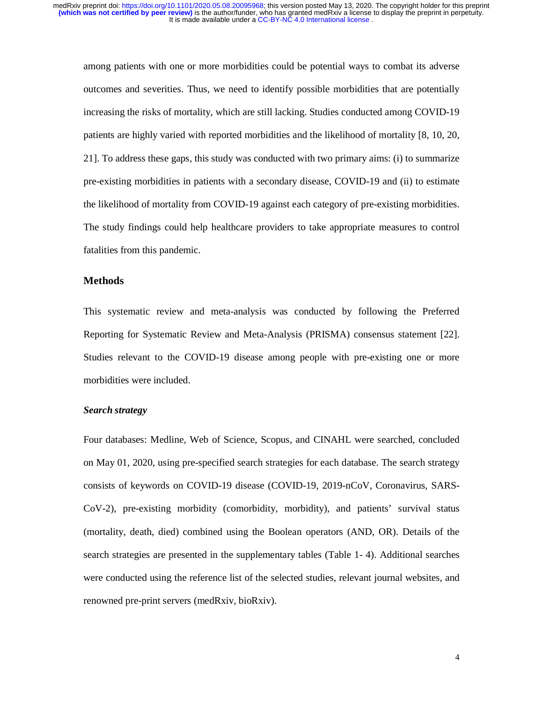among patients with one or more morbidities could be potential ways to combat its adverse outcomes and severities. Thus, we need to identify possible morbidities that are potentially increasing the risks of mortality, which are still lacking. Studies conducted among COVID-19 patients are highly varied with reported morbidities and the likelihood of mortality [8, 10, 20, 21]. To address these gaps, this study was conducted with two primary aims: (i) to summarize pre-existing morbidities in patients with a secondary disease, COVID-19 and (ii) to estimate the likelihood of mortality from COVID-19 against each category of pre-existing morbidities. The study findings could help healthcare providers to take appropriate measures to control fatalities from this pandemic.

#### **Methods**

This systematic review and meta-analysis was conducted by following the Preferred Reporting for Systematic Review and Meta-Analysis (PRISMA) consensus statement [22]. Studies relevant to the COVID-19 disease among people with pre-existing one or more morbidities were included.

### *Search strategy*

Four databases: Medline, Web of Science, Scopus, and CINAHL were searched, concluded on May 01, 2020, using pre-specified search strategies for each database. The search strategy consists of keywords on COVID-19 disease (COVID-19, 2019-nCoV, Coronavirus, SARS-CoV-2), pre-existing morbidity (comorbidity, morbidity), and patients' survival status (mortality, death, died) combined using the Boolean operators (AND, OR). Details of the search strategies are presented in the supplementary tables (Table 1- 4). Additional searches were conducted using the reference list of the selected studies, relevant journal websites, and renowned pre-print servers (medRxiv, bioRxiv).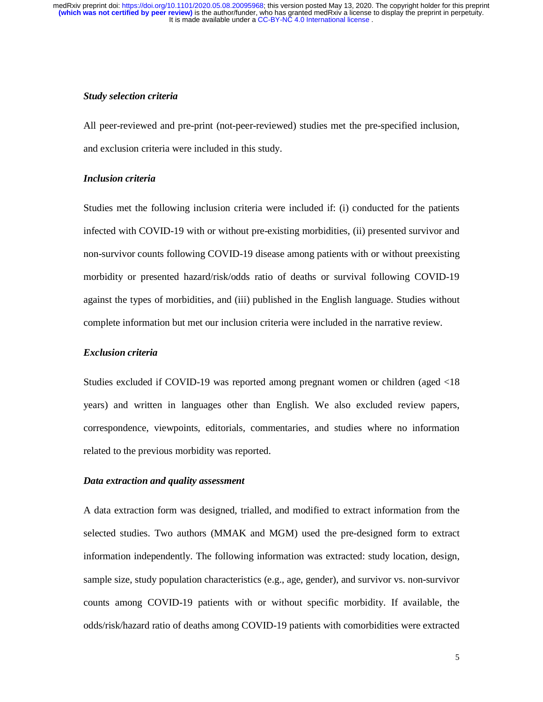#### *Study selection criteria*

All peer-reviewed and pre-print (not-peer-reviewed) studies met the pre-specified inclusion, and exclusion criteria were included in this study.

# *Inclusion criteria*

Studies met the following inclusion criteria were included if: (i) conducted for the patients infected with COVID-19 with or without pre-existing morbidities, (ii) presented survivor and non-survivor counts following COVID-19 disease among patients with or without preexisting morbidity or presented hazard/risk/odds ratio of deaths or survival following COVID-19 against the types of morbidities, and (iii) published in the English language. Studies without complete information but met our inclusion criteria were included in the narrative review.

### *Exclusion criteria*

Studies excluded if COVID-19 was reported among pregnant women or children (aged <18 years) and written in languages other than English. We also excluded review papers, correspondence, viewpoints, editorials, commentaries, and studies where no information related to the previous morbidity was reported.

#### *Data extraction and quality assessment*

A data extraction form was designed, trialled, and modified to extract information from the selected studies. Two authors (MMAK and MGM) used the pre-designed form to extract information independently. The following information was extracted: study location, design, sample size, study population characteristics (e.g., age, gender), and survivor vs. non-survivor counts among COVID-19 patients with or without specific morbidity. If available, the odds/risk/hazard ratio of deaths among COVID-19 patients with comorbidities were extracted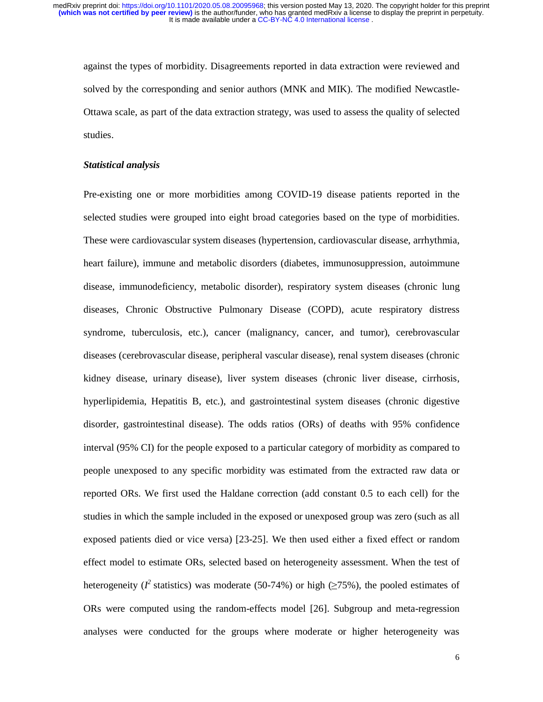against the types of morbidity. Disagreements reported in data extraction were reviewed and solved by the corresponding and senior authors (MNK and MIK). The modified Newcastle-Ottawa scale, as part of the data extraction strategy, was used to assess the quality of selected studies.

#### *Statistical analysis*

Pre-existing one or more morbidities among COVID-19 disease patients reported in the selected studies were grouped into eight broad categories based on the type of morbidities. These were cardiovascular system diseases (hypertension, cardiovascular disease, arrhythmia, heart failure), immune and metabolic disorders (diabetes, immunosuppression, autoimmune disease, immunodeficiency, metabolic disorder), respiratory system diseases (chronic lung diseases, Chronic Obstructive Pulmonary Disease (COPD), acute respiratory distress syndrome, tuberculosis, etc.), cancer (malignancy, cancer, and tumor), cerebrovascular diseases (cerebrovascular disease, peripheral vascular disease), renal system diseases (chronic kidney disease, urinary disease), liver system diseases (chronic liver disease, cirrhosis, hyperlipidemia, Hepatitis B, etc.), and gastrointestinal system diseases (chronic digestive disorder, gastrointestinal disease). The odds ratios (ORs) of deaths with 95% confidence interval (95% CI) for the people exposed to a particular category of morbidity as compared to people unexposed to any specific morbidity was estimated from the extracted raw data or reported ORs. We first used the Haldane correction (add constant 0.5 to each cell) for the studies in which the sample included in the exposed or unexposed group was zero (such as all exposed patients died or vice versa) [23-25]. We then used either a fixed effect or random effect model to estimate ORs, selected based on heterogeneity assessment. When the test of heterogeneity ( $I^2$  statistics) was moderate (50-74%) or high ( $\geq$ 75%), the pooled estimates of ORs were computed using the random-effects model [26]. Subgroup and meta-regression analyses were conducted for the groups where moderate or higher heterogeneity was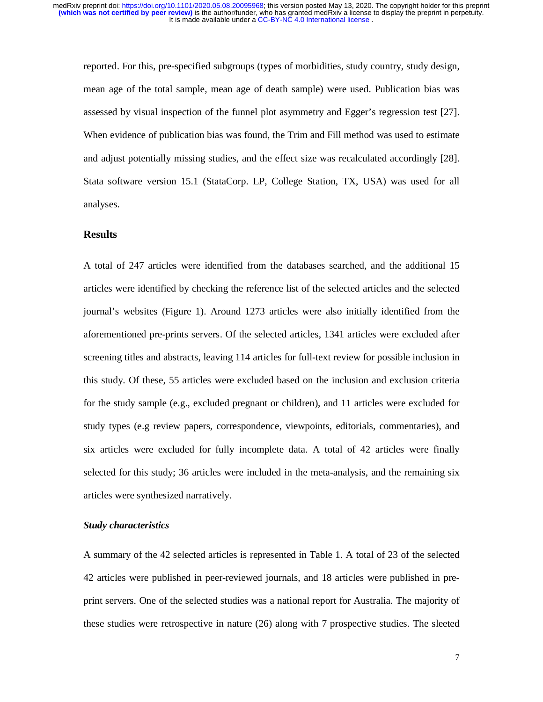reported. For this, pre-specified subgroups (types of morbidities, study country, study design, mean age of the total sample, mean age of death sample) were used. Publication bias was assessed by visual inspection of the funnel plot asymmetry and Egger's regression test [27]. When evidence of publication bias was found, the Trim and Fill method was used to estimate and adjust potentially missing studies, and the effect size was recalculated accordingly [28]. Stata software version 15.1 (StataCorp. LP, College Station, TX, USA) was used for all analyses.

# **Results**

A total of 247 articles were identified from the databases searched, and the additional 15 articles were identified by checking the reference list of the selected articles and the selected journal's websites (Figure 1). Around 1273 articles were also initially identified from the aforementioned pre-prints servers. Of the selected articles, 1341 articles were excluded after screening titles and abstracts, leaving 114 articles for full-text review for possible inclusion in this study. Of these, 55 articles were excluded based on the inclusion and exclusion criteria for the study sample (e.g., excluded pregnant or children), and 11 articles were excluded for study types (e.g review papers, correspondence, viewpoints, editorials, commentaries), and six articles were excluded for fully incomplete data. A total of 42 articles were finally selected for this study; 36 articles were included in the meta-analysis, and the remaining six articles were synthesized narratively.

#### *Study characteristics*

A summary of the 42 selected articles is represented in Table 1. A total of 23 of the selected 42 articles were published in peer-reviewed journals, and 18 articles were published in preprint servers. One of the selected studies was a national report for Australia. The majority of these studies were retrospective in nature (26) along with 7 prospective studies. The sleeted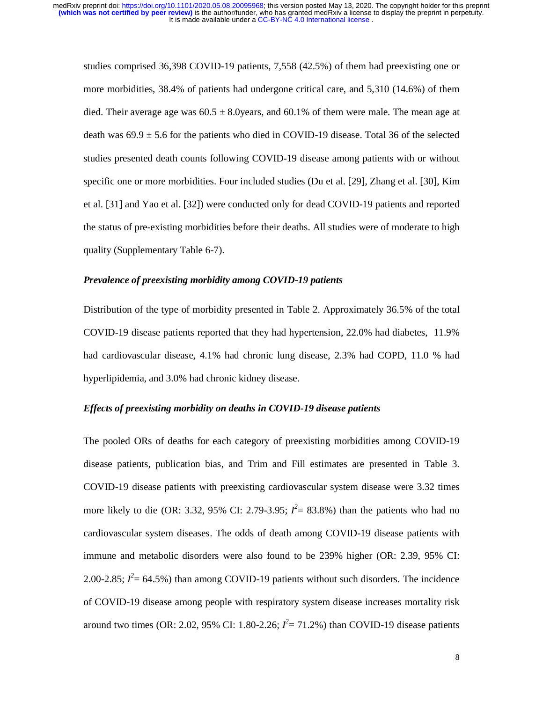studies comprised 36,398 COVID-19 patients, 7,558 (42.5%) of them had preexisting one or more morbidities, 38.4% of patients had undergone critical care, and 5,310 (14.6%) of them died. Their average age was  $60.5 \pm 8.0$ years, and  $60.1\%$  of them were male. The mean age at death was  $69.9 \pm 5.6$  for the patients who died in COVID-19 disease. Total 36 of the selected studies presented death counts following COVID-19 disease among patients with or without specific one or more morbidities. Four included studies (Du et al. [29], Zhang et al. [30], Kim et al. [31] and Yao et al. [32]) were conducted only for dead COVID-19 patients and reported the status of pre-existing morbidities before their deaths. All studies were of moderate to high quality (Supplementary Table 6-7).

# *Prevalence of preexisting morbidity among COVID-19 patients*

Distribution of the type of morbidity presented in Table 2. Approximately 36.5% of the total COVID-19 disease patients reported that they had hypertension, 22.0% had diabetes, 11.9% had cardiovascular disease, 4.1% had chronic lung disease, 2.3% had COPD, 11.0 % had hyperlipidemia, and 3.0% had chronic kidney disease.

#### *Effects of preexisting morbidity on deaths in COVID-19 disease patients*

The pooled ORs of deaths for each category of preexisting morbidities among COVID-19 disease patients, publication bias, and Trim and Fill estimates are presented in Table 3. COVID-19 disease patients with preexisting cardiovascular system disease were 3.32 times more likely to die (OR: 3.32, 95% CI: 2.79-3.95;  $I^2 = 83.8\%$ ) than the patients who had no cardiovascular system diseases. The odds of death among COVID-19 disease patients with immune and metabolic disorders were also found to be 239% higher (OR: 2.39, 95% CI: 2.00-2.85;  $I^2 = 64.5\%$ ) than among COVID-19 patients without such disorders. The incidence of COVID-19 disease among people with respiratory system disease increases mortality risk around two times (OR: 2.02, 95% CI: 1.80-2.26;  $I^2 = 71.2$ %) than COVID-19 disease patients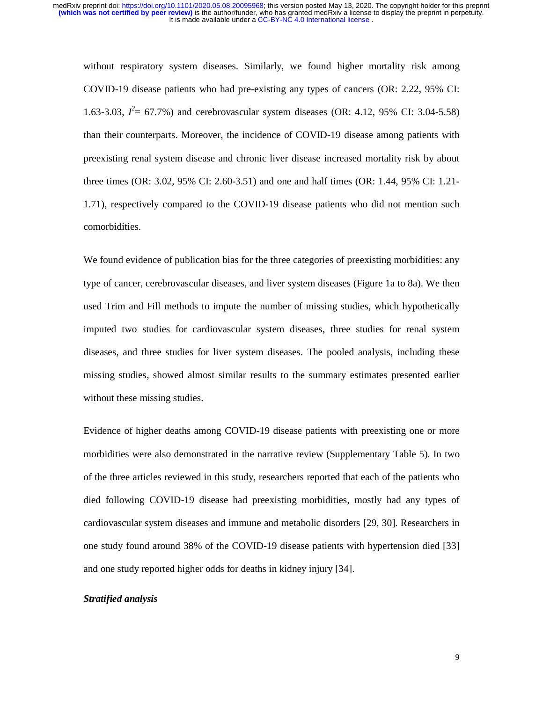without respiratory system diseases. Similarly, we found higher mortality risk among COVID-19 disease patients who had pre-existing any types of cancers (OR: 2.22, 95% CI: 1.63-3.03,  $I^2 = 67.7\%$ ) and cerebrovascular system diseases (OR: 4.12, 95% CI: 3.04-5.58) than their counterparts. Moreover, the incidence of COVID-19 disease among patients with preexisting renal system disease and chronic liver disease increased mortality risk by about three times (OR: 3.02, 95% CI: 2.60-3.51) and one and half times (OR: 1.44, 95% CI: 1.21- 1.71), respectively compared to the COVID-19 disease patients who did not mention such comorbidities.

We found evidence of publication bias for the three categories of preexisting morbidities: any type of cancer, cerebrovascular diseases, and liver system diseases (Figure 1a to 8a). We then used Trim and Fill methods to impute the number of missing studies, which hypothetically imputed two studies for cardiovascular system diseases, three studies for renal system diseases, and three studies for liver system diseases. The pooled analysis, including these missing studies, showed almost similar results to the summary estimates presented earlier without these missing studies.

Evidence of higher deaths among COVID-19 disease patients with preexisting one or more morbidities were also demonstrated in the narrative review (Supplementary Table 5). In two of the three articles reviewed in this study, researchers reported that each of the patients who died following COVID-19 disease had preexisting morbidities, mostly had any types of cardiovascular system diseases and immune and metabolic disorders [29, 30]. Researchers in one study found around 38% of the COVID-19 disease patients with hypertension died [33] and one study reported higher odds for deaths in kidney injury [34].

#### *Stratified analysis*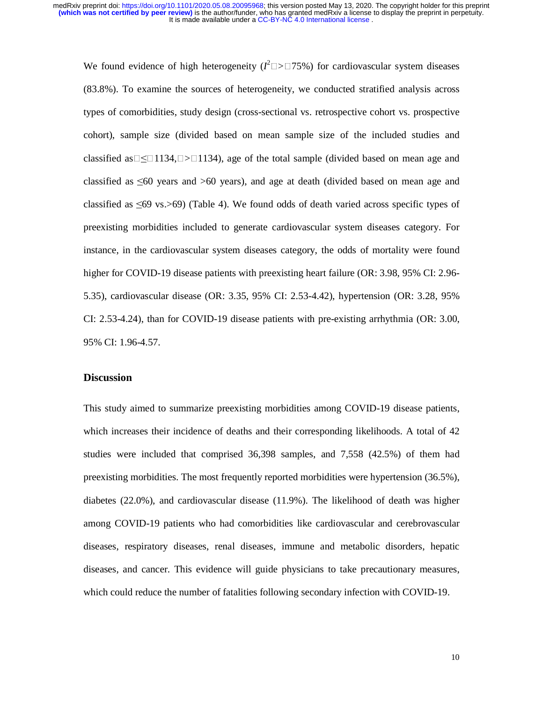We found evidence of high heterogeneity  $(I^2)$  $\Box$  $\geq$   $\Box$ 75%) for cardiovascular system diseases (83.8%). To examine the sources of heterogeneity, we conducted stratified analysis across types of comorbidities, study design (cross-sectional vs. retrospective cohort vs. prospective cohort), sample size (divided based on mean sample size of the included studies and classified as  $\Box \leq \Box 1134$ ,  $\Box > \Box 1134$ ), age of the total sample (divided based on mean age and classified as ≤60 years and >60 years), and age at death (divided based on mean age and classified as ≤69 vs.>69) (Table 4). We found odds of death varied across specific types of preexisting morbidities included to generate cardiovascular system diseases category. For instance, in the cardiovascular system diseases category, the odds of mortality were found higher for COVID-19 disease patients with preexisting heart failure (OR: 3.98, 95% CI: 2.96-5.35), cardiovascular disease (OR: 3.35, 95% CI: 2.53-4.42), hypertension (OR: 3.28, 95% CI: 2.53-4.24), than for COVID-19 disease patients with pre-existing arrhythmia (OR: 3.00, 95% CI: 1.96-4.57.

### **Discussion**

This study aimed to summarize preexisting morbidities among COVID-19 disease patients, which increases their incidence of deaths and their corresponding likelihoods. A total of 42 studies were included that comprised 36,398 samples, and 7,558 (42.5%) of them had preexisting morbidities. The most frequently reported morbidities were hypertension (36.5%), diabetes (22.0%), and cardiovascular disease (11.9%). The likelihood of death was higher among COVID-19 patients who had comorbidities like cardiovascular and cerebrovascular diseases, respiratory diseases, renal diseases, immune and metabolic disorders, hepatic diseases, and cancer. This evidence will guide physicians to take precautionary measures, which could reduce the number of fatalities following secondary infection with COVID-19.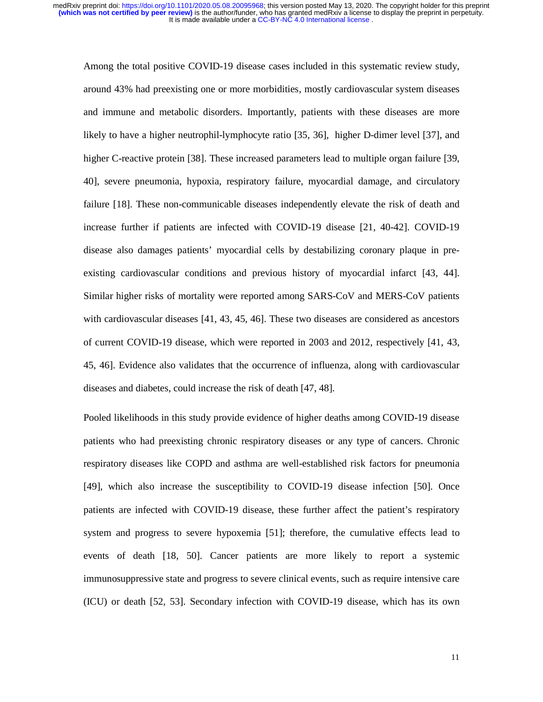Among the total positive COVID-19 disease cases included in this systematic review study, around 43% had preexisting one or more morbidities, mostly cardiovascular system diseases and immune and metabolic disorders. Importantly, patients with these diseases are more likely to have a higher neutrophil-lymphocyte ratio [35, 36], higher D-dimer level [37], and higher C-reactive protein [38]. These increased parameters lead to multiple organ failure [39, 40], severe pneumonia, hypoxia, respiratory failure, myocardial damage, and circulatory failure [18]. These non-communicable diseases independently elevate the risk of death and increase further if patients are infected with COVID-19 disease [21, 40-42]. COVID-19 disease also damages patients' myocardial cells by destabilizing coronary plaque in preexisting cardiovascular conditions and previous history of myocardial infarct [43, 44]. Similar higher risks of mortality were reported among SARS-CoV and MERS-CoV patients with cardiovascular diseases [41, 43, 45, 46]. These two diseases are considered as ancestors of current COVID-19 disease, which were reported in 2003 and 2012, respectively [41, 43, 45, 46]. Evidence also validates that the occurrence of influenza, along with cardiovascular diseases and diabetes, could increase the risk of death [47, 48].

Pooled likelihoods in this study provide evidence of higher deaths among COVID-19 disease patients who had preexisting chronic respiratory diseases or any type of cancers. Chronic respiratory diseases like COPD and asthma are well-established risk factors for pneumonia [49], which also increase the susceptibility to COVID-19 disease infection [50]. Once patients are infected with COVID-19 disease, these further affect the patient's respiratory system and progress to severe hypoxemia [51]; therefore, the cumulative effects lead to events of death [18, 50]. Cancer patients are more likely to report a systemic immunosuppressive state and progress to severe clinical events, such as require intensive care (ICU) or death [52, 53]. Secondary infection with COVID-19 disease, which has its own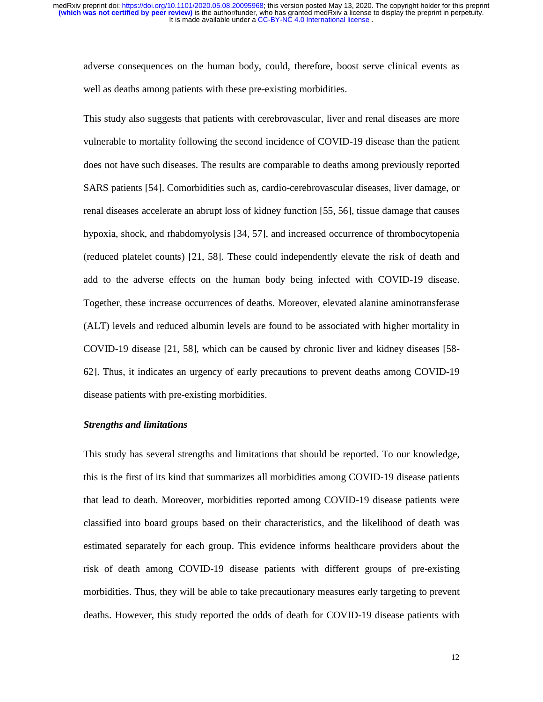adverse consequences on the human body, could, therefore, boost serve clinical events as well as deaths among patients with these pre-existing morbidities.

This study also suggests that patients with cerebrovascular, liver and renal diseases are more vulnerable to mortality following the second incidence of COVID-19 disease than the patient does not have such diseases. The results are comparable to deaths among previously reported SARS patients [54]. Comorbidities such as, cardio-cerebrovascular diseases, liver damage, or renal diseases accelerate an abrupt loss of kidney function [55, 56], tissue damage that causes hypoxia, shock, and rhabdomyolysis [34, 57], and increased occurrence of thrombocytopenia (reduced platelet counts) [21, 58]. These could independently elevate the risk of death and add to the adverse effects on the human body being infected with COVID-19 disease. Together, these increase occurrences of deaths. Moreover, elevated alanine aminotransferase (ALT) levels and reduced albumin levels are found to be associated with higher mortality in COVID-19 disease [21, 58], which can be caused by chronic liver and kidney diseases [58- 62]. Thus, it indicates an urgency of early precautions to prevent deaths among COVID-19 disease patients with pre-existing morbidities.

#### *Strengths and limitations*

This study has several strengths and limitations that should be reported. To our knowledge, this is the first of its kind that summarizes all morbidities among COVID-19 disease patients that lead to death. Moreover, morbidities reported among COVID-19 disease patients were classified into board groups based on their characteristics, and the likelihood of death was estimated separately for each group. This evidence informs healthcare providers about the risk of death among COVID-19 disease patients with different groups of pre-existing morbidities. Thus, they will be able to take precautionary measures early targeting to prevent deaths. However, this study reported the odds of death for COVID-19 disease patients with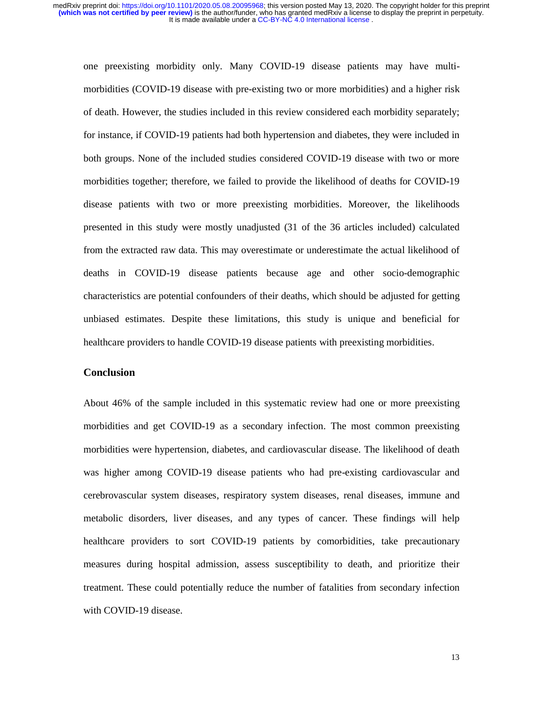one preexisting morbidity only. Many COVID-19 disease patients may have multimorbidities (COVID-19 disease with pre-existing two or more morbidities) and a higher risk of death. However, the studies included in this review considered each morbidity separately; for instance, if COVID-19 patients had both hypertension and diabetes, they were included in both groups. None of the included studies considered COVID-19 disease with two or more morbidities together; therefore, we failed to provide the likelihood of deaths for COVID-19 disease patients with two or more preexisting morbidities. Moreover, the likelihoods presented in this study were mostly unadjusted (31 of the 36 articles included) calculated from the extracted raw data. This may overestimate or underestimate the actual likelihood of deaths in COVID-19 disease patients because age and other socio-demographic characteristics are potential confounders of their deaths, which should be adjusted for getting unbiased estimates. Despite these limitations, this study is unique and beneficial for healthcare providers to handle COVID-19 disease patients with preexisting morbidities.

# **Conclusion**

About 46% of the sample included in this systematic review had one or more preexisting morbidities and get COVID-19 as a secondary infection. The most common preexisting morbidities were hypertension, diabetes, and cardiovascular disease. The likelihood of death was higher among COVID-19 disease patients who had pre-existing cardiovascular and cerebrovascular system diseases, respiratory system diseases, renal diseases, immune and metabolic disorders, liver diseases, and any types of cancer. These findings will help healthcare providers to sort COVID-19 patients by comorbidities, take precautionary measures during hospital admission, assess susceptibility to death, and prioritize their treatment. These could potentially reduce the number of fatalities from secondary infection with COVID-19 disease.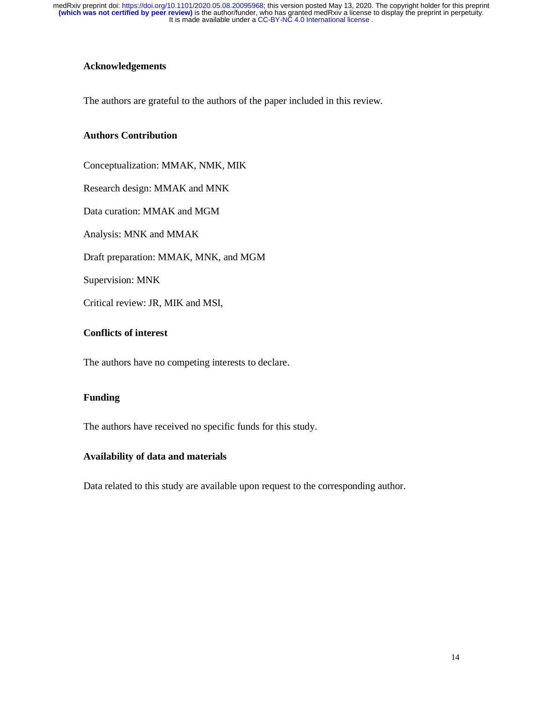# **Acknowledgements**

The authors are grateful to the authors of the paper included in this review.

### **Authors Contribution**

Conceptualization: MMAK, NMK, MIK

Research design: MMAK and MNK

Data curation: MMAK and MGM

Analysis: MNK and MMAK

Draft preparation: MMAK, MNK, and MGM

Supervision: MNK

Critical review: JR, MIK and MSI,

# **Conflicts of interest**

The authors have no competing interests to declare.

# **Funding**

The authors have received no specific funds for this study.

### **Availability of data and materials**

Data related to this study are available upon request to the corresponding author.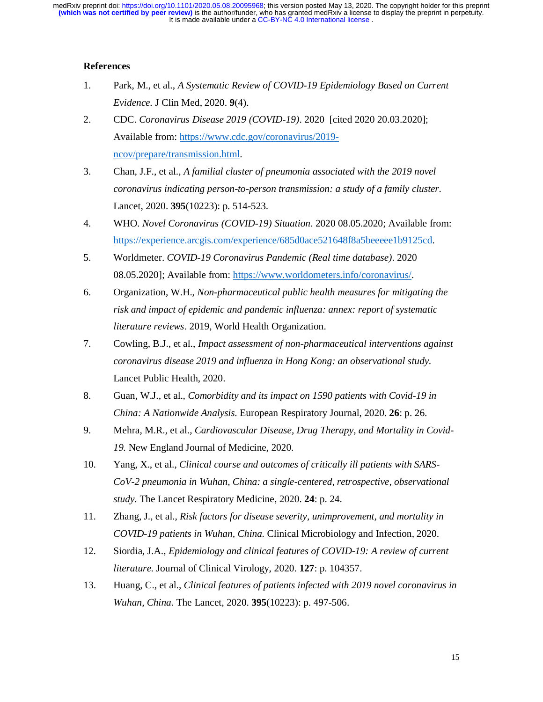# **References**

- 1. Park, M., et al., *A Systematic Review of COVID-19 Epidemiology Based on Current Evidence.* J Clin Med, 2020. **9**(4).
- 2. CDC. *Coronavirus Disease 2019 (COVID-19)*. 2020 [cited 2020 20.03.2020]; Available from: https://www.cdc.gov/coronavirus/2019 ncov/prepare/transmission.html.
- 3. Chan, J.F., et al., *A familial cluster of pneumonia associated with the 2019 novel coronavirus indicating person-to-person transmission: a study of a family cluster.* Lancet, 2020. **395**(10223): p. 514-523.
- 4. WHO. *Novel Coronavirus (COVID-19) Situation*. 2020 08.05.2020; Available from: https://experience.arcgis.com/experience/685d0ace521648f8a5beeeee1b9125cd.
- 5. Worldmeter. *COVID-19 Coronavirus Pandemic (Real time database)*. 2020 08.05.2020]; Available from: https://www.worldometers.info/coronavirus/.
- 6. Organization, W.H., *Non-pharmaceutical public health measures for mitigating the risk and impact of epidemic and pandemic influenza: annex: report of systematic literature reviews*. 2019, World Health Organization.
- 7. Cowling, B.J., et al., *Impact assessment of non-pharmaceutical interventions against coronavirus disease 2019 and influenza in Hong Kong: an observational study.* Lancet Public Health, 2020.
- 8. Guan, W.J., et al., *Comorbidity and its impact on 1590 patients with Covid-19 in China: A Nationwide Analysis.* European Respiratory Journal, 2020. **26**: p. 26.
- 9. Mehra, M.R., et al., *Cardiovascular Disease, Drug Therapy, and Mortality in Covid-19.* New England Journal of Medicine, 2020.
- 10. Yang, X., et al., *Clinical course and outcomes of critically ill patients with SARS-CoV-2 pneumonia in Wuhan, China: a single-centered, retrospective, observational study.* The Lancet Respiratory Medicine, 2020. **24**: p. 24.
- 11. Zhang, J., et al., *Risk factors for disease severity, unimprovement, and mortality in COVID-19 patients in Wuhan, China.* Clinical Microbiology and Infection, 2020.
- 12. Siordia, J.A., *Epidemiology and clinical features of COVID-19: A review of current literature.* Journal of Clinical Virology, 2020. **127**: p. 104357.
- 13. Huang, C., et al., *Clinical features of patients infected with 2019 novel coronavirus in Wuhan, China.* The Lancet, 2020. **395**(10223): p. 497-506.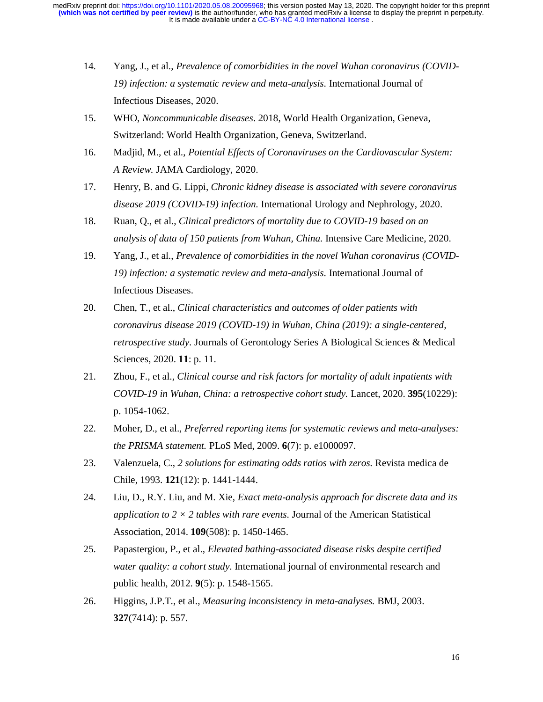- 14. Yang, J., et al., *Prevalence of comorbidities in the novel Wuhan coronavirus (COVID-19) infection: a systematic review and meta-analysis.* International Journal of Infectious Diseases, 2020.
- 15. WHO, *Noncommunicable diseases*. 2018, World Health Organization, Geneva, Switzerland: World Health Organization, Geneva, Switzerland.
- 16. Madjid, M., et al., *Potential Effects of Coronaviruses on the Cardiovascular System: A Review.* JAMA Cardiology, 2020.
- 17. Henry, B. and G. Lippi, *Chronic kidney disease is associated with severe coronavirus disease 2019 (COVID-19) infection.* International Urology and Nephrology, 2020.
- 18. Ruan, Q., et al., *Clinical predictors of mortality due to COVID-19 based on an analysis of data of 150 patients from Wuhan, China.* Intensive Care Medicine, 2020.
- 19. Yang, J., et al., *Prevalence of comorbidities in the novel Wuhan coronavirus (COVID-19) infection: a systematic review and meta-analysis.* International Journal of Infectious Diseases.
- 20. Chen, T., et al., *Clinical characteristics and outcomes of older patients with coronavirus disease 2019 (COVID-19) in Wuhan, China (2019): a single-centered, retrospective study.* Journals of Gerontology Series A Biological Sciences & Medical Sciences, 2020. **11**: p. 11.
- 21. Zhou, F., et al., *Clinical course and risk factors for mortality of adult inpatients with COVID-19 in Wuhan, China: a retrospective cohort study.* Lancet, 2020. **395**(10229): p. 1054-1062.
- 22. Moher, D., et al., *Preferred reporting items for systematic reviews and meta-analyses: the PRISMA statement.* PLoS Med, 2009. **6**(7): p. e1000097.
- 23. Valenzuela, C., *2 solutions for estimating odds ratios with zeros.* Revista medica de Chile, 1993. **121**(12): p. 1441-1444.
- 24. Liu, D., R.Y. Liu, and M. Xie, *Exact meta-analysis approach for discrete data and its application to 2 × 2 tables with rare events.* Journal of the American Statistical Association, 2014. **109**(508): p. 1450-1465.
- 25. Papastergiou, P., et al., *Elevated bathing-associated disease risks despite certified water quality: a cohort study.* International journal of environmental research and public health, 2012. **9**(5): p. 1548-1565.
- 26. Higgins, J.P.T., et al., *Measuring inconsistency in meta-analyses.* BMJ, 2003. **327**(7414): p. 557.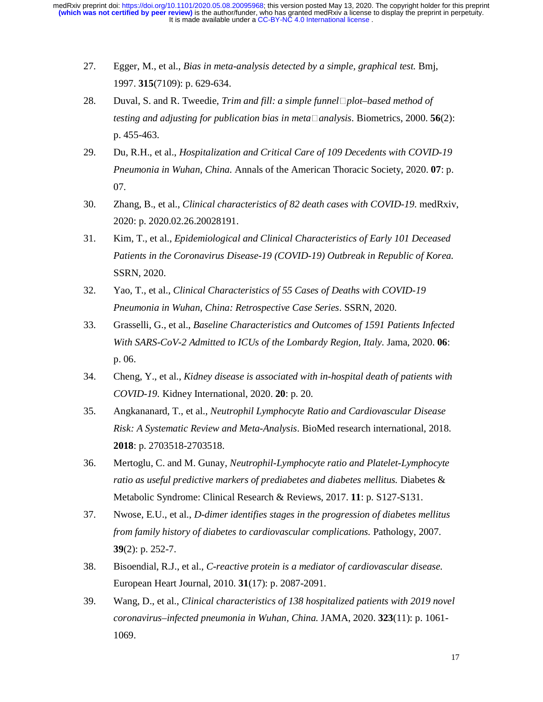- 27. Egger, M., et al., *Bias in meta-analysis detected by a simple, graphical test.* Bmj, 1997. **315**(7109): p. 629-634.
- 28. Duval, S. and R. Tweedie, *Trim and fill: a simple funnelplot–based method of testing and adjusting for publication bias in meta* $\Box$ *analysis.* Biometrics, 2000. **56**(2): p. 455-463.
- 29. Du, R.H., et al., *Hospitalization and Critical Care of 109 Decedents with COVID-19 Pneumonia in Wuhan, China.* Annals of the American Thoracic Society, 2020. **07**: p. 07.
- 30. Zhang, B., et al., *Clinical characteristics of 82 death cases with COVID-19.* medRxiv, 2020: p. 2020.02.26.20028191.
- 31. Kim, T., et al., *Epidemiological and Clinical Characteristics of Early 101 Deceased Patients in the Coronavirus Disease-19 (COVID-19) Outbreak in Republic of Korea.* SSRN, 2020.
- 32. Yao, T., et al., *Clinical Characteristics of 55 Cases of Deaths with COVID-19 Pneumonia in Wuhan, China: Retrospective Case Series.* SSRN, 2020.
- 33. Grasselli, G., et al., *Baseline Characteristics and Outcomes of 1591 Patients Infected With SARS-CoV-2 Admitted to ICUs of the Lombardy Region, Italy.* Jama, 2020. **06**: p. 06.
- 34. Cheng, Y., et al., *Kidney disease is associated with in-hospital death of patients with COVID-19.* Kidney International, 2020. **20**: p. 20.
- 35. Angkananard, T., et al., *Neutrophil Lymphocyte Ratio and Cardiovascular Disease Risk: A Systematic Review and Meta-Analysis.* BioMed research international, 2018. **2018**: p. 2703518-2703518.
- 36. Mertoglu, C. and M. Gunay, *Neutrophil-Lymphocyte ratio and Platelet-Lymphocyte ratio as useful predictive markers of prediabetes and diabetes mellitus.* Diabetes & Metabolic Syndrome: Clinical Research & Reviews, 2017. **11**: p. S127-S131.
- 37. Nwose, E.U., et al., *D-dimer identifies stages in the progression of diabetes mellitus from family history of diabetes to cardiovascular complications.* Pathology, 2007. **39**(2): p. 252-7.
- 38. Bisoendial, R.J., et al., *C-reactive protein is a mediator of cardiovascular disease.* European Heart Journal, 2010. **31**(17): p. 2087-2091.
- 39. Wang, D., et al., *Clinical characteristics of 138 hospitalized patients with 2019 novel coronavirus–infected pneumonia in Wuhan, China.* JAMA, 2020. **323**(11): p. 1061- 1069.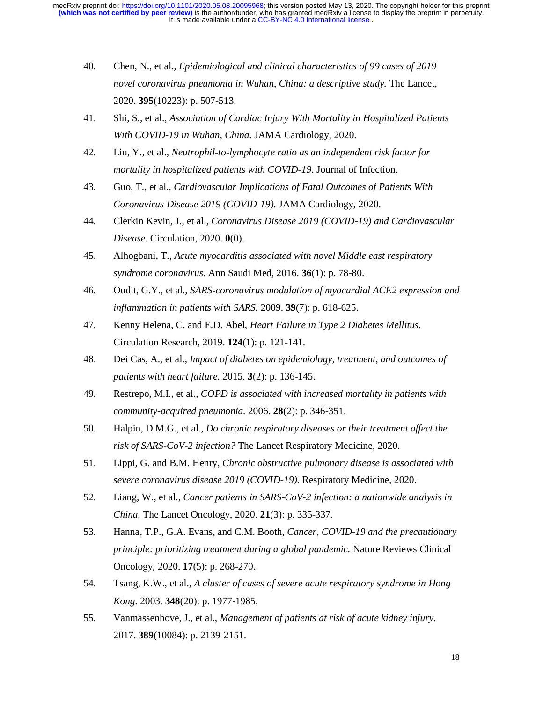- 40. Chen, N., et al., *Epidemiological and clinical characteristics of 99 cases of 2019 novel coronavirus pneumonia in Wuhan, China: a descriptive study.* The Lancet, 2020. **395**(10223): p. 507-513.
- 41. Shi, S., et al., *Association of Cardiac Injury With Mortality in Hospitalized Patients With COVID-19 in Wuhan, China.* JAMA Cardiology, 2020.
- 42. Liu, Y., et al., *Neutrophil-to-lymphocyte ratio as an independent risk factor for mortality in hospitalized patients with COVID-19.* Journal of Infection.
- 43. Guo, T., et al., *Cardiovascular Implications of Fatal Outcomes of Patients With Coronavirus Disease 2019 (COVID-19).* JAMA Cardiology, 2020.
- 44. Clerkin Kevin, J., et al., *Coronavirus Disease 2019 (COVID-19) and Cardiovascular Disease.* Circulation, 2020. **0**(0).
- 45. Alhogbani, T., *Acute myocarditis associated with novel Middle east respiratory syndrome coronavirus.* Ann Saudi Med, 2016. **36**(1): p. 78-80.
- 46. Oudit, G.Y., et al., *SARS-coronavirus modulation of myocardial ACE2 expression and inflammation in patients with SARS.* 2009. **39**(7): p. 618-625.
- 47. Kenny Helena, C. and E.D. Abel, *Heart Failure in Type 2 Diabetes Mellitus.* Circulation Research, 2019. **124**(1): p. 121-141.
- 48. Dei Cas, A., et al., *Impact of diabetes on epidemiology, treatment, and outcomes of patients with heart failure.* 2015. **3**(2): p. 136-145.
- 49. Restrepo, M.I., et al., *COPD is associated with increased mortality in patients with community-acquired pneumonia.* 2006. **28**(2): p. 346-351.
- 50. Halpin, D.M.G., et al., *Do chronic respiratory diseases or their treatment affect the risk of SARS-CoV-2 infection?* The Lancet Respiratory Medicine, 2020.
- 51. Lippi, G. and B.M. Henry, *Chronic obstructive pulmonary disease is associated with severe coronavirus disease 2019 (COVID-19).* Respiratory Medicine, 2020.
- 52. Liang, W., et al., *Cancer patients in SARS-CoV-2 infection: a nationwide analysis in China.* The Lancet Oncology, 2020. **21**(3): p. 335-337.
- 53. Hanna, T.P., G.A. Evans, and C.M. Booth, *Cancer, COVID-19 and the precautionary principle: prioritizing treatment during a global pandemic.* Nature Reviews Clinical Oncology, 2020. **17**(5): p. 268-270.
- 54. Tsang, K.W., et al., *A cluster of cases of severe acute respiratory syndrome in Hong Kong.* 2003. **348**(20): p. 1977-1985.
- 55. Vanmassenhove, J., et al., *Management of patients at risk of acute kidney injury.* 2017. **389**(10084): p. 2139-2151.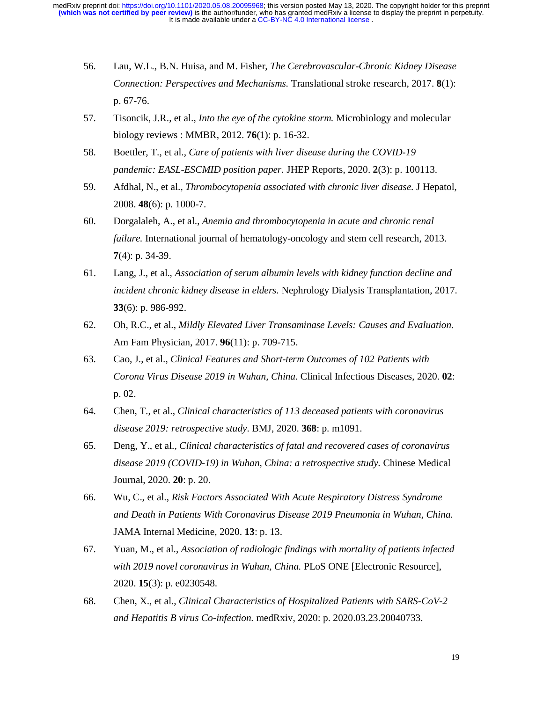- 56. Lau, W.L., B.N. Huisa, and M. Fisher, *The Cerebrovascular-Chronic Kidney Disease Connection: Perspectives and Mechanisms.* Translational stroke research, 2017. **8**(1): p. 67-76.
- 57. Tisoncik, J.R., et al., *Into the eye of the cytokine storm.* Microbiology and molecular biology reviews : MMBR, 2012. **76**(1): p. 16-32.
- 58. Boettler, T., et al., *Care of patients with liver disease during the COVID-19 pandemic: EASL-ESCMID position paper.* JHEP Reports, 2020. **2**(3): p. 100113.
- 59. Afdhal, N., et al., *Thrombocytopenia associated with chronic liver disease.* J Hepatol, 2008. **48**(6): p. 1000-7.
- 60. Dorgalaleh, A., et al., *Anemia and thrombocytopenia in acute and chronic renal failure.* International journal of hematology-oncology and stem cell research, 2013. **7**(4): p. 34-39.
- 61. Lang, J., et al., *Association of serum albumin levels with kidney function decline and incident chronic kidney disease in elders.* Nephrology Dialysis Transplantation, 2017. **33**(6): p. 986-992.
- 62. Oh, R.C., et al., *Mildly Elevated Liver Transaminase Levels: Causes and Evaluation.* Am Fam Physician, 2017. **96**(11): p. 709-715.
- 63. Cao, J., et al., *Clinical Features and Short-term Outcomes of 102 Patients with Corona Virus Disease 2019 in Wuhan, China.* Clinical Infectious Diseases, 2020. **02**: p. 02.
- 64. Chen, T., et al., *Clinical characteristics of 113 deceased patients with coronavirus disease 2019: retrospective study.* BMJ, 2020. **368**: p. m1091.
- 65. Deng, Y., et al., *Clinical characteristics of fatal and recovered cases of coronavirus disease 2019 (COVID-19) in Wuhan, China: a retrospective study.* Chinese Medical Journal, 2020. **20**: p. 20.
- 66. Wu, C., et al., *Risk Factors Associated With Acute Respiratory Distress Syndrome and Death in Patients With Coronavirus Disease 2019 Pneumonia in Wuhan, China.* JAMA Internal Medicine, 2020. **13**: p. 13.
- 67. Yuan, M., et al., *Association of radiologic findings with mortality of patients infected with 2019 novel coronavirus in Wuhan, China.* PLoS ONE [Electronic Resource], 2020. **15**(3): p. e0230548.
- 68. Chen, X., et al., *Clinical Characteristics of Hospitalized Patients with SARS-CoV-2 and Hepatitis B virus Co-infection.* medRxiv, 2020: p. 2020.03.23.20040733.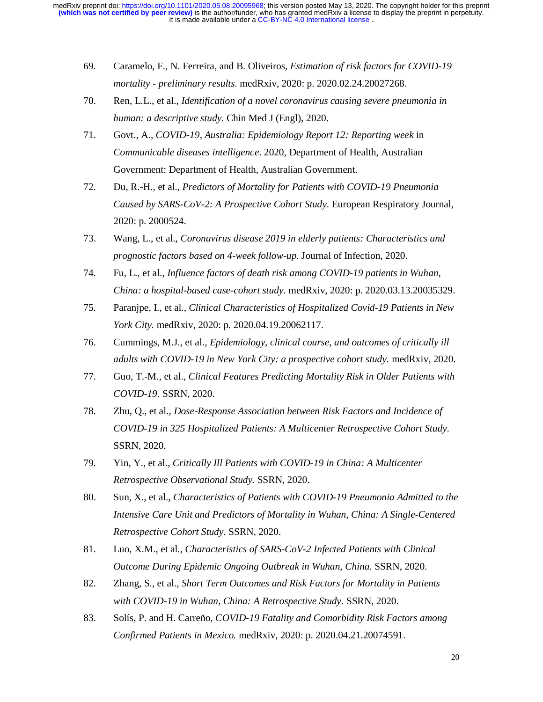- 69. Caramelo, F., N. Ferreira, and B. Oliveiros, *Estimation of risk factors for COVID-19 mortality - preliminary results.* medRxiv, 2020: p. 2020.02.24.20027268.
- 70. Ren, L.L., et al., *Identification of a novel coronavirus causing severe pneumonia in human: a descriptive study.* Chin Med J (Engl), 2020.
- 71. Govt., A., *COVID-19, Australia: Epidemiology Report 12: Reporting week* in *Communicable diseases intelligence*. 2020, Department of Health, Australian Government: Department of Health, Australian Government.
- 72. Du, R.-H., et al., *Predictors of Mortality for Patients with COVID-19 Pneumonia Caused by SARS-CoV-2: A Prospective Cohort Study.* European Respiratory Journal, 2020: p. 2000524.
- 73. Wang, L., et al., *Coronavirus disease 2019 in elderly patients: Characteristics and prognostic factors based on 4-week follow-up.* Journal of Infection, 2020.
- 74. Fu, L., et al., *Influence factors of death risk among COVID-19 patients in Wuhan, China: a hospital-based case-cohort study.* medRxiv, 2020: p. 2020.03.13.20035329.
- 75. Paranjpe, I., et al., *Clinical Characteristics of Hospitalized Covid-19 Patients in New York City.* medRxiv, 2020: p. 2020.04.19.20062117.
- 76. Cummings, M.J., et al., *Epidemiology, clinical course, and outcomes of critically ill adults with COVID-19 in New York City: a prospective cohort study.* medRxiv, 2020.
- 77. Guo, T.-M., et al., *Clinical Features Predicting Mortality Risk in Older Patients with COVID-19.* SSRN, 2020.
- 78. Zhu, Q., et al., *Dose-Response Association between Risk Factors and Incidence of COVID-19 in 325 Hospitalized Patients: A Multicenter Retrospective Cohort Study.* SSRN, 2020.
- 79. Yin, Y., et al., *Critically Ill Patients with COVID-19 in China: A Multicenter Retrospective Observational Study.* SSRN, 2020.
- 80. Sun, X., et al., *Characteristics of Patients with COVID-19 Pneumonia Admitted to the Intensive Care Unit and Predictors of Mortality in Wuhan, China: A Single-Centered Retrospective Cohort Study.* SSRN, 2020.
- 81. Luo, X.M., et al., *Characteristics of SARS-CoV-2 Infected Patients with Clinical Outcome During Epidemic Ongoing Outbreak in Wuhan, China.* SSRN, 2020.
- 82. Zhang, S., et al., *Short Term Outcomes and Risk Factors for Mortality in Patients with COVID-19 in Wuhan, China: A Retrospective Study.* SSRN, 2020.
- 83. Solís, P. and H. Carreňo, *COVID-19 Fatality and Comorbidity Risk Factors among Confirmed Patients in Mexico.* medRxiv, 2020: p. 2020.04.21.20074591.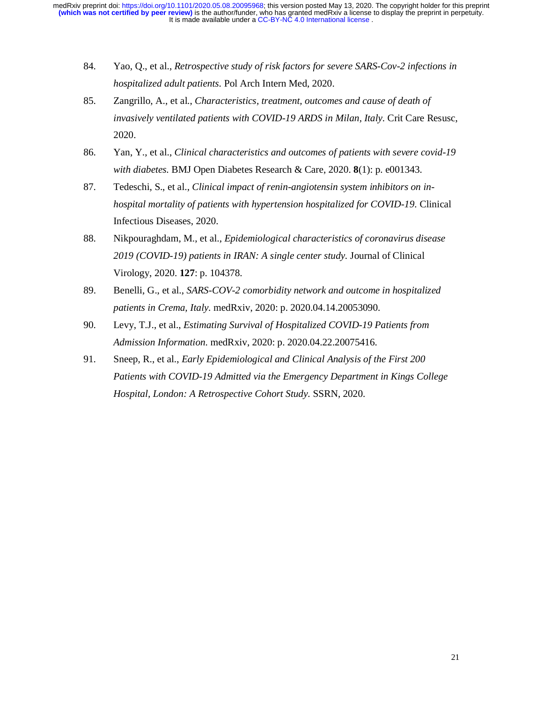- 84. Yao, Q., et al., *Retrospective study of risk factors for severe SARS-Cov-2 infections in hospitalized adult patients.* Pol Arch Intern Med, 2020.
- 85. Zangrillo, A., et al., *Characteristics, treatment, outcomes and cause of death of invasively ventilated patients with COVID-19 ARDS in Milan, Italy.* Crit Care Resusc, 2020.
- 86. Yan, Y., et al., *Clinical characteristics and outcomes of patients with severe covid-19 with diabetes.* BMJ Open Diabetes Research & Care, 2020. **8**(1): p. e001343.
- 87. Tedeschi, S., et al., *Clinical impact of renin-angiotensin system inhibitors on inhospital mortality of patients with hypertension hospitalized for COVID-19.* Clinical Infectious Diseases, 2020.
- 88. Nikpouraghdam, M., et al., *Epidemiological characteristics of coronavirus disease 2019 (COVID-19) patients in IRAN: A single center study.* Journal of Clinical Virology, 2020. **127**: p. 104378.
- 89. Benelli, G., et al., *SARS-COV-2 comorbidity network and outcome in hospitalized patients in Crema, Italy.* medRxiv, 2020: p. 2020.04.14.20053090.
- 90. Levy, T.J., et al., *Estimating Survival of Hospitalized COVID-19 Patients from Admission Information.* medRxiv, 2020: p. 2020.04.22.20075416.
- 91. Sneep, R., et al., *Early Epidemiological and Clinical Analysis of the First 200 Patients with COVID-19 Admitted via the Emergency Department in Kings College Hospital, London: A Retrospective Cohort Study.* SSRN, 2020.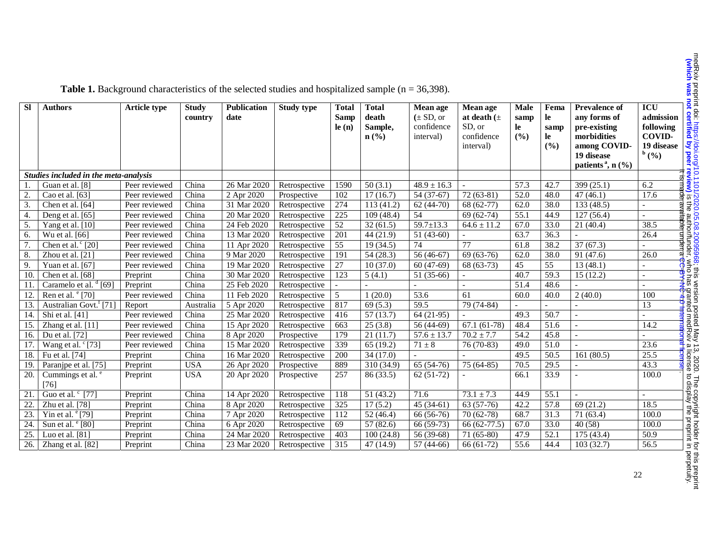| <b>SI</b>        | <b>Authors</b>                        | <b>Article type</b> | <b>Study</b><br>country | <b>Publication</b><br>date | <b>Study type</b> | <b>Total</b><br>Samp<br>le(n) | <b>Total</b><br>death<br>Sample,<br>$n\left(\frac{0}{0}\right)$ | Mean age<br>$(\pm SD, or$<br>confidence<br>interval) | Mean age<br>at death $(\pm$<br>SD, or<br>confidence<br>interval) | <b>Male</b><br>samp<br>le<br>(%) | Fema<br>le<br>samp<br>le<br>(%) | <b>Prevalence of</b><br>any forms of<br>pre-existing<br>morbidities<br>among COVID-<br>19 disease<br>patients <sup>a</sup> , $n$ (%) | <b>ICU</b><br>admission<br>following<br><b>COVID-</b><br>19 disease<br>b(%) |
|------------------|---------------------------------------|---------------------|-------------------------|----------------------------|-------------------|-------------------------------|-----------------------------------------------------------------|------------------------------------------------------|------------------------------------------------------------------|----------------------------------|---------------------------------|--------------------------------------------------------------------------------------------------------------------------------------|-----------------------------------------------------------------------------|
|                  | Studies included in the meta-analysis |                     |                         |                            |                   |                               |                                                                 |                                                      |                                                                  |                                  |                                 |                                                                                                                                      |                                                                             |
|                  | Guan et al. [8]                       | Peer reviewed       | China                   | 26 Mar 2020                | Retrospective     | 1590                          | 50(3.1)                                                         | $48.9 \pm 16.3$                                      |                                                                  | 57.3                             | 42.7                            | 399 (25.1)                                                                                                                           | 6.2                                                                         |
| $\overline{2}$   | Cao et al. [63]                       | Peer reviewed       | China                   | 2 Apr 2020                 | Prospective       | 102                           | 17(16.7)                                                        | $54(37-67)$                                          | $72(63-81)$                                                      | 52.0                             | 48.0                            | 47(46.1)                                                                                                                             | 17.6                                                                        |
| 3.               | Chen et al. [64]                      | Peer reviewed       | China                   | 31 Mar 2020                | Retrospective     | 274                           | 113(41.2)                                                       | $62(44-70)$                                          | 68 (62-77)                                                       | 62.0                             | 38.0                            | 133 (48.5)                                                                                                                           |                                                                             |
| $\overline{4}$ . | Deng et al. [65]                      | Peer reviewed       | China                   | 20 Mar 2020                | Retrospective     | 225                           | 109(48.4)                                                       | 54                                                   | $69(62-74)$                                                      | 55.1                             | 44.9                            | 127(56.4)                                                                                                                            | $\sim$                                                                      |
| 5.               | Yang et al. [10]                      | Peer reviewed       | China                   | 24 Feb 2020                | Retrospective     | 52                            | 32(61.5)                                                        | $59.7 \pm 13.3$                                      | $64.6 \pm 11.2$                                                  | 67.0                             | 33.0                            | 21(40.4)                                                                                                                             | iitabte<br>38.5                                                             |
| 6.               | Wu et al. [66]                        | Peer reviewed       | China                   | 13 Mar 2020                | Retrospective     | 201                           | 44(21.9)                                                        | $51(43-60)$                                          |                                                                  | 63.7                             | 36.3                            |                                                                                                                                      | 26.4                                                                        |
| 7.               | Chen et al. $\degree$ [20]            | Peer reviewed       | China                   | 11 Apr 2020                | Retrospective     | 55                            | 19(34.5)                                                        | 74                                                   | 77                                                               | 61.8                             | 38.2                            | 37(67.3)                                                                                                                             | underra                                                                     |
| 8                | Zhou et al. [21]                      | Peer reviewed       | China                   | 9 Mar 2020                 | Retrospective     | 191                           | 54(28.3)                                                        | 56 (46-67)                                           | 69 (63-76)                                                       | 62.0                             | 38.0                            | 91 (47.6)                                                                                                                            | 26.0                                                                        |
| 9                | Yuan et al. [67]                      | Peer reviewed       | China                   | 19 Mar 2020                | Retrospective     | $\overline{27}$               | 10(37.0)                                                        | $60(47-69)$                                          | 68 (63-73)                                                       | 45                               | $\overline{55}$                 | 13(48.1)                                                                                                                             |                                                                             |
| 10.              | Chen et al. [68]                      | Preprint            | China                   | 30 Mar 2020                | Retrospective     | 123                           | 5(4.1)                                                          | 51 (35-66)                                           |                                                                  | 40.7                             | 59.3                            | 15(12.2)                                                                                                                             |                                                                             |
| 11.              | Caramelo et al. $\frac{d}{d}$ [69]    | Preprint            | China                   | 25 Feb 2020                | Retrospective     |                               |                                                                 |                                                      |                                                                  | 51.4                             | 48.6                            |                                                                                                                                      |                                                                             |
| 12.              | Ren et al. <sup>e</sup> [70]          | Peer reviewed       | China                   | 11 Feb 2020                | Retrospective     | 5                             | 1(20.0)                                                         | 53.6                                                 | 61                                                               | 60.0                             | 40.0                            | 2(40.0)                                                                                                                              | 100                                                                         |
| 13.              | Australian Govt. <sup>f</sup> [71]    | Report              | Australia               | 5 Apr 2020                 | Retrospective     | 817                           | 69(5.3)                                                         | 59.5                                                 | 79 (74-84)                                                       |                                  | $\overline{a}$                  |                                                                                                                                      | 13                                                                          |
| 14.              | Shi et al. [41]                       | Peer reviewed       | China                   | 25 Mar 2020                | Retrospective     | 416                           | 57(13.7)                                                        | $64(21-95)$                                          |                                                                  | 49.3                             | 50.7                            |                                                                                                                                      |                                                                             |
| 15.              | Zhang et al. [11]                     | Peer reviewed       | China                   | 15 Apr 2020                | Retrospective     | 663                           | 25(3.8)                                                         | 56 (44-69)                                           | $67.1(61-78)$                                                    | 48.4                             | 51.6                            |                                                                                                                                      | 14.2                                                                        |
| 16.              | Du et al. [72]                        | Peer reviewed       | China                   | 8 Apr 2020                 | Prospective       | 179                           | 21(11.7)                                                        | $57.6 \pm 13.7$                                      | $70.2 \pm 7.7$                                                   | 54.2                             | 45.8                            |                                                                                                                                      |                                                                             |
| 17.              | Wang et al. <sup>c</sup> [73]         | Peer reviewed       | China                   | 15 Mar 2020                | Retrospective     | 339                           | 65(19.2)                                                        | $71\pm8$                                             | 76 (70-83)                                                       | 49.0                             | 51.0                            |                                                                                                                                      | 23.6                                                                        |
| 18.              | Fu et al. [74]                        | Preprint            | China                   | 16 Mar 2020                | Retrospective     | 200                           | 34(17.0)                                                        |                                                      |                                                                  | 49.5                             | 50.5                            | 161(80.5)                                                                                                                            | 25.5                                                                        |
| 19.              | Paranjpe et al. [75]                  | Preprint            | <b>USA</b>              | 26 Apr 2020                | Prospective       | 889                           | 310 (34.9)                                                      | $65(54-76)$                                          | $75(64-85)$                                                      | 70.5                             | $\overline{29.5}$               |                                                                                                                                      | 43.3                                                                        |
| 20.              | Cummings et al. <sup>e</sup><br>[76]  | Preprint            | <b>USA</b>              | 20 Apr 2020                | Prospective       | 257                           | 86 (33.5)                                                       | $62(51-72)$                                          |                                                                  | 66.1                             | 33.9                            |                                                                                                                                      | 100.0                                                                       |
| 21.              | Guo et al. <sup>c</sup> [77]          | Preprint            | China                   | 14 Apr 2020                | Retrospective     | 118                           | 51(43.2)                                                        | 71.6                                                 | $73.1 \pm 7.3$                                                   | 44.9                             | 55.1                            |                                                                                                                                      |                                                                             |
| 22.              | Zhu et al. [78]                       | Preprint            | China                   | 8 Apr 2020                 | Retrospective     | 325                           | 17(5.2)                                                         | $45(34-61)$                                          | $63(57-76)$                                                      | 42.2                             | 57.8                            | 69(21.2)                                                                                                                             | 18.5                                                                        |
| 23.              | Yin et al. $\degree$ [79]             | Preprint            | China                   | 7 Apr 2020                 | Retrospective     | 112                           | 52(46.4)                                                        | 66 (56-76)                                           | $70(62-78)$                                                      | 68.7                             | 31.3                            | 71(63.4)                                                                                                                             | 100.0                                                                       |
| 24.              | Sun et al. $\degree$ [80]             | Preprint            | China                   | 6 Apr 2020                 | Retrospective     | 69                            | 57(82.6)                                                        | 66 (59-73)                                           | 66 (62-77.5)                                                     | 67.0                             | 33.0                            | 40 (58)                                                                                                                              | 100.0                                                                       |
| 25.              | Luo et al. $[81]$                     | Preprint            | China                   | 24 Mar 2020                | Retrospective     | 403                           | 100(24.8)                                                       | 56 (39-68)                                           | 71 (65-80)                                                       | 47.9                             | 52.1                            | 175(43.4)                                                                                                                            | 50.9                                                                        |
| 26.              | Zhang et al. [82]                     | Preprint            | China                   | 23 Mar 2020                | Retrospective     | 315                           | 47 (14.9)                                                       | $57(44-66)$                                          | $66(61-72)$                                                      | 55.6                             | 44.4                            | 103(32.7)                                                                                                                            | 56.5                                                                        |

Table 1. Background characteristics of the selected studies and hospitalized sample (n = 36,398).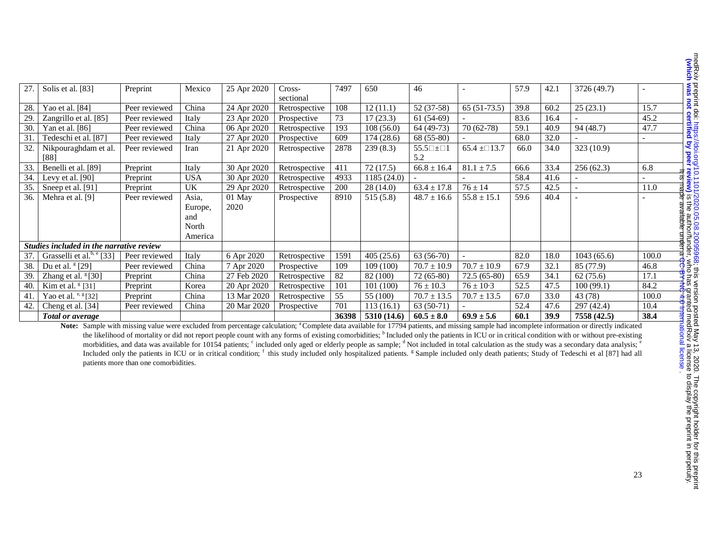| 27.             | Solis et al. [83]                                                                                                                                                                                               | Preprint                              | Mexico     | 25 Apr 2020 | $Cross-$<br>sectional | 7497  | 650         | 46                                  |                 | 57.9 | 42.1 | 3726 (49.7) |       |
|-----------------|-----------------------------------------------------------------------------------------------------------------------------------------------------------------------------------------------------------------|---------------------------------------|------------|-------------|-----------------------|-------|-------------|-------------------------------------|-----------------|------|------|-------------|-------|
| 28.             | Yao et al. [84]                                                                                                                                                                                                 | Peer reviewed                         | China      | 24 Apr 2020 | Retrospective         | 108   | 12(11.1)    | 52 (37-58)                          | $65(51-73.5)$   | 39.8 | 60.2 | 25(23.1)    | 15.7  |
| 29.             | Zangrillo et al. [85]                                                                                                                                                                                           | Peer reviewed                         | Italy      | 23 Apr 2020 | Prospective           | 73    | 17(23.3)    | $61(54-69)$                         |                 | 83.6 | 16.4 |             | 45.2  |
| 30.             | Yan et al. [86]                                                                                                                                                                                                 | Peer reviewed                         | China      | 06 Apr 2020 | Retrospective         | 193   | 108(56.0)   | 64 (49-73)                          | 70 (62-78)      | 59.1 | 40.9 | 94 (48.7)   | 47.7  |
| $\overline{31}$ | Tedeschi et al. [87]                                                                                                                                                                                            | Peer reviewed                         | Italy      | 27 Apr 2020 | Prospective           | 609   | 174(28.6)   | 68 (55-80)                          |                 | 68.0 | 32.0 |             |       |
| 32.             | Nikpouraghdam et al.<br>$[88]$                                                                                                                                                                                  | Peer reviewed                         | Iran       | 21 Apr 2020 | Retrospective         | 2878  | 239(8.3)    | $55.5 \square \pm \square 1$<br>5.2 | $65.4 \pm 13.7$ | 66.0 | 34.0 | 323 (10.9)  |       |
| 33.             | Benelli et al. [89]                                                                                                                                                                                             | Preprint                              | Italy      | 30 Apr 2020 | Retrospective         | 411   | 72(17.5)    | $66.8 \pm 16.4$                     | $81.1 \pm 7.5$  | 66.6 | 33.4 | 256(62.3)   | 6.8   |
| 34.             | Levy et al. [90]                                                                                                                                                                                                | Preprint                              | <b>USA</b> | 30 Apr 2020 | Retrospective         | 4933  | 1185 (24.0) |                                     |                 | 58.4 | 41.6 |             |       |
| 35.             | Sneep et al. [91]                                                                                                                                                                                               | Preprint                              | UK         | 29 Apr 2020 | Retrospective         | 200   | 28(14.0)    | $63.4 \pm 17.8$                     | $76 \pm 14$     | 57.5 | 42.5 |             | 11.0  |
| 36.             | Mehra et al. [9]                                                                                                                                                                                                | Peer reviewed                         | Asia,      | 01 May      | Prospective           | 8910  | 515(5.8)    | $48.7 \pm 16.6$                     | $55.8 \pm 15.1$ | 59.6 | 40.4 |             |       |
|                 |                                                                                                                                                                                                                 |                                       | Europe,    | 2020        |                       |       |             |                                     |                 |      |      |             |       |
|                 |                                                                                                                                                                                                                 |                                       | and        |             |                       |       |             |                                     |                 |      |      |             |       |
|                 |                                                                                                                                                                                                                 |                                       | North      |             |                       |       |             |                                     |                 |      |      |             |       |
|                 |                                                                                                                                                                                                                 |                                       | America    |             |                       |       |             |                                     |                 |      |      |             |       |
|                 | Studies included in the narrative review                                                                                                                                                                        |                                       |            |             |                       |       |             |                                     |                 |      |      |             |       |
| 37.             | Grasselli et al. <sup>b, e</sup> [33]                                                                                                                                                                           | Peer reviewed                         | Italy      | 6 Apr 2020  | Retrospective         | 1591  | 405(25.6)   | $63(56-70)$                         |                 | 82.0 | 18.0 | 1043(65.6)  | 100.0 |
| 38.             | Du et al. $\frac{8}{29}$                                                                                                                                                                                        | Peer reviewed                         | China      | 7 Apr 2020  | Prospective           | 109   | 109(100)    | $70.7 \pm 10.9$                     | $70.7 \pm 10.9$ | 67.9 | 32.1 | 85 (77.9)   | 46.8  |
| 39.             | Zhang et al. $[30]$                                                                                                                                                                                             | Preprint                              | China      | 27 Feb 2020 | Retrospective         | 82    | 82 (100)    | $72(65-80)$                         | $72.5(65-80)$   | 65.9 | 34.1 | 62(75.6)    | 17.1  |
| 40.             | Kim et al. $\frac{8}{31}$                                                                                                                                                                                       | Preprint                              | Korea      | 20 Apr 2020 | Retrospective         | 101   | 101(100)    | $76 \pm 10.3$                       | $76 \pm 10.3$   | 52.5 | 47.5 | 100(99.1)   | 84.2  |
| 41.             | Yao et al. $e, g$ [32]                                                                                                                                                                                          | Preprint                              | China      | 13 Mar 2020 | Retrospective         | 55    | 55 (100)    | $70.7 \pm 13.5$                     | $70.7 \pm 13.5$ | 67.0 | 33.0 | 43 (78)     | 100.0 |
| 42.             | Cheng et al. [34]                                                                                                                                                                                               | Peer reviewed                         | China      | 20 Mar 2020 | Prospective           | 701   | 113(16.1)   | $63(50-71)$                         |                 | 52.4 | 47.6 | 297(42.4)   | 10.4  |
|                 | <b>Total or average</b>                                                                                                                                                                                         |                                       |            |             |                       | 36398 | 5310 (14.6) | $60.5 \pm 8.0$                      | $69.9 \pm 5.6$  | 60.1 | 39.9 | 7558 (42.5) | 38.4  |
|                 | Note: Sample with missing value were excluded from percentage calculation; <sup>a</sup> Complete data available for 17794 patients, and missing sample had incomplete information or directly indicated         |                                       |            |             |                       |       |             |                                     |                 |      |      |             |       |
|                 | the likelihood of mortality or did not report people count with any forms of existing comorbidities; <sup>b</sup> Included only the patients in ICU or in critical condition with or without pre-existing       |                                       |            |             |                       |       |             |                                     |                 |      |      |             |       |
|                 | morbidities, and data was available for 10154 patients; c included only aged or elderly people as sample; d Not included in total calculation as the study was a secondary data analysis; c                     |                                       |            |             |                       |       |             |                                     |                 |      |      |             |       |
|                 | Included only the patients in ICU or in critical condition; <sup>†</sup> this study included only hospitalized patients. <sup>g</sup> Sample included only death patients; Study of Tedeschi et al [87] had all |                                       |            |             |                       |       |             |                                     |                 |      |      |             |       |
|                 |                                                                                                                                                                                                                 | patients more than one comorbidities. |            |             |                       |       |             |                                     |                 |      |      |             |       |
|                 |                                                                                                                                                                                                                 |                                       |            |             |                       |       |             |                                     |                 |      |      |             |       |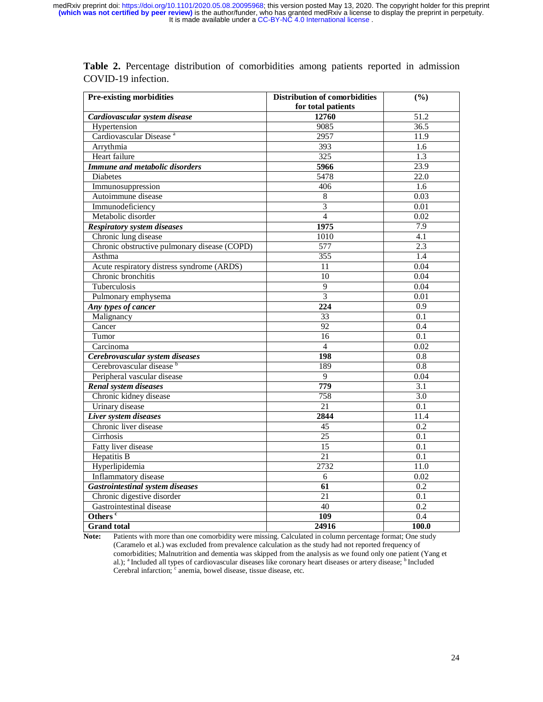| <b>Pre-existing morbidities</b>              | <b>Distribution of comorbidities</b> | (%)              |
|----------------------------------------------|--------------------------------------|------------------|
|                                              | for total patients                   |                  |
| Cardiovascular system disease                | 12760                                | 51.2             |
| Hypertension                                 | 9085                                 | 36.5             |
| Cardiovascular Disease <sup>a</sup>          | 2957                                 | 11.9             |
| Arrythmia                                    | 393                                  | 1.6              |
| Heart failure                                | 325                                  | 1.3              |
| <b>Immune and metabolic disorders</b>        | 5966                                 | 23.9             |
| <b>Diabetes</b>                              | 5478                                 | 22.0             |
| Immunosuppression                            | 406                                  | 1.6              |
| Autoimmune disease                           | 8                                    | 0.03             |
| Immunodeficiency                             | 3                                    | 0.01             |
| Metabolic disorder                           | $\overline{4}$                       | 0.02             |
| <b>Respiratory system diseases</b>           | 1975                                 | 7.9              |
| Chronic lung disease                         | 1010                                 | 4.1              |
| Chronic obstructive pulmonary disease (COPD) | 577                                  | 2.3              |
| Asthma                                       | 355                                  | $\overline{1.4}$ |
| Acute respiratory distress syndrome (ARDS)   | 11                                   | 0.04             |
| Chronic bronchitis                           | 10                                   | 0.04             |
| Tuberculosis                                 | 9                                    | 0.04             |
| Pulmonary emphysema                          | $\overline{3}$                       | 0.01             |
| Any types of cancer                          | 224                                  | $\overline{0.9}$ |
| Malignancy                                   | $\overline{33}$                      | 0.1              |
| Cancer                                       | 92                                   | 0.4              |
| Tumor                                        | 16                                   | 0.1              |
| Carcinoma                                    | $\overline{4}$                       | 0.02             |
| Cerebrovascular system diseases              | 198                                  | 0.8              |
| Cerebrovascular disease b                    | 189                                  | 0.8              |
| Peripheral vascular disease                  | 9                                    | 0.04             |
| <b>Renal system diseases</b>                 | 779                                  | 3.1              |
| Chronic kidney disease                       | 758                                  | $\overline{3.0}$ |
| Urinary disease                              | 21                                   | $\overline{0.1}$ |
| <b>Liver system diseases</b>                 | 2844                                 | 11.4             |
| Chronic liver disease                        | $\overline{45}$                      | $\overline{0.2}$ |
| Cirrhosis                                    | 25                                   | $\overline{0.1}$ |
| Fatty liver disease                          | 15                                   | 0.1              |
| <b>Hepatitis B</b>                           | 21                                   | $\overline{0.1}$ |
| Hyperlipidemia                               | 2732                                 | 11.0             |
| Inflammatory disease                         | 6                                    | 0.02             |
| <b>Gastrointestinal system diseases</b>      | 61                                   | 0.2              |
| Chronic digestive disorder                   | 21                                   | 0.1              |
| Gastrointestinal disease                     | $\overline{40}$                      | $\overline{0.2}$ |
| Others <sup>c</sup>                          | 109                                  | 0.4              |
| <b>Grand</b> total                           | 24916                                | 100.0            |

**Table 2.** Percentage distribution of comorbidities among patients reported in admission COVID-19 infection.

**Note:** Patients with more than one comorbidity were missing. Calculated in column percentage format; One study (Caramelo et al.) was excluded from prevalence calculation as the study had not reported frequency of comorbidities; Malnutrition and dementia was skipped from the analysis as we found only one patient (Yang et al.); <sup>a</sup> Included all types of cardiovascular diseases like coronary heart diseases or artery disease; <sup>b</sup> Included Cerebral infarction; c anemia, bowel disease, tissue disease, etc.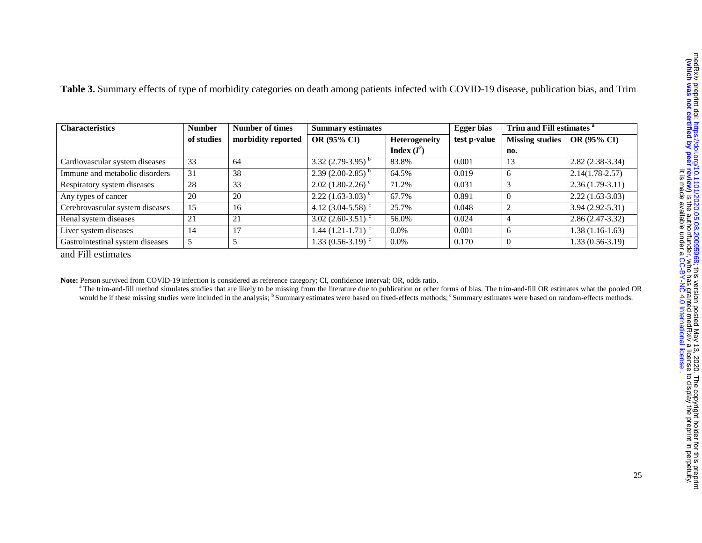| <b>Characteristics</b>           | <b>Number</b><br><b>Number of times</b> |                    | <b>Summary estimates</b>          |                      | <b>Egger</b> bias | Trim and Fill estimates <sup>a</sup> |                     |  |
|----------------------------------|-----------------------------------------|--------------------|-----------------------------------|----------------------|-------------------|--------------------------------------|---------------------|--|
|                                  | of studies                              | morbidity reported | <b>OR (95% CI)</b>                | <b>Heterogeneity</b> | test p-value      | <b>Missing studies</b>               | <b>OR (95% CI)</b>  |  |
|                                  |                                         |                    |                                   | Index $(I^2)$        |                   | no.                                  |                     |  |
| Cardiovascular system diseases   | 33                                      | 64                 | 3.32 $(2.79-3.95)^{b}$            | 83.8%                | 0.001             | 13                                   | $2.82(2.38-3.34)$   |  |
| Immune and metabolic disorders   | 31                                      | 38                 | $2.39(2.00-2.85)^{b}$             | 64.5%                | 0.019             | 6                                    | $2.14(1.78-2.57)$   |  |
| Respiratory system diseases      | 28                                      | 33                 | $2.02$ (1.80-2.26) <sup>c</sup>   | 71.2%                | 0.031             | 3                                    | $2.36(1.79-3.11)$   |  |
| Any types of cancer              | 20                                      | 20                 | $2.22$ (1.63-3.03) <sup>c</sup>   | 67.7%                | 0.891             | $\theta$                             | $2.22(1.63-3.03)$   |  |
| Cerebrovascular system diseases  | 15                                      | 16                 | 4.12 $(3.04 - 5.58)^c$            | 25.7%                | 0.048             | $\overline{2}$                       | $3.94(2.92 - 5.31)$ |  |
| Renal system diseases            | 21                                      | 21                 | $3.02$ (2.60-3.51) $\degree$      | 56.0%                | 0.024             | $\overline{4}$                       | $2.86(2.47-3.32)$   |  |
| Liver system diseases            | 14                                      | 17                 | 1.44 $(1.21 - 1.71)$ <sup>c</sup> | $0.0\%$              | 0.001             | 6                                    | $1.38(1.16-1.63)$   |  |
| Gastrointestinal system diseases | 5                                       |                    | 1.33 $(0.56-3.19)$ <sup>c</sup>   | $0.0\%$              | 0.170             | $\overline{0}$                       | $1.33(0.56-3.19)$   |  |

**Table 3.** Summary effects of type of morbidity categories on death among patients infected with COVID-19 disease, publication bias, and Trim

and Fill estimates

**Note:** Person survived from COVID-19 infection is considered as reference category; CI, confidence interval; OR, odds ratio.

<sup>a</sup> The trim-and-fill method simulates studies that are likely to be missing from the literature due to publication or other forms of bias. The trim-and-fill OR estimates what the pooled OR would be if these missing studies were included in the analysis; <sup>b</sup> Summary estimates were based on fixed-effects methods; <sup>c</sup> Summary estimates were based on random-effects methods.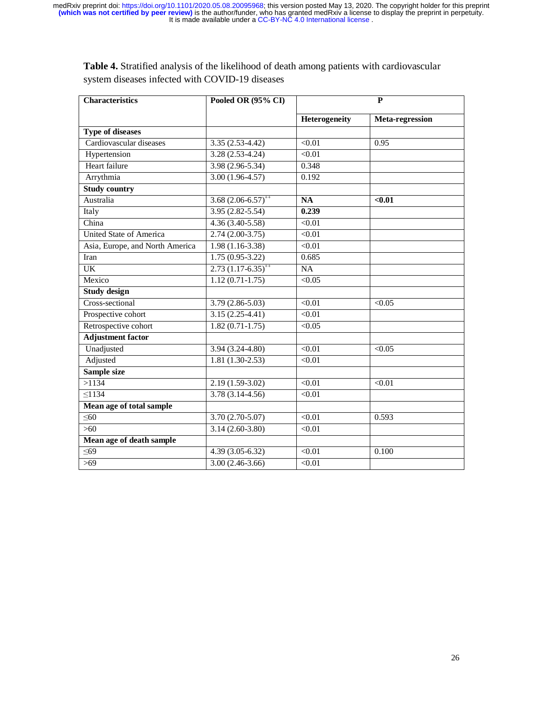| <b>Characteristics</b>          | Pooled OR (95% CI)           | P             |                 |  |  |  |
|---------------------------------|------------------------------|---------------|-----------------|--|--|--|
|                                 |                              | Heterogeneity | Meta-regression |  |  |  |
| <b>Type of diseases</b>         |                              |               |                 |  |  |  |
| Cardiovascular diseases         | $3.35(2.53-4.42)$            | $\sqrt{0.01}$ | 0.95            |  |  |  |
| Hypertension                    | $3.28(2.53-4.24)$            | < 0.01        |                 |  |  |  |
| Heart failure                   | $3.98(2.96-5.34)$            | 0.348         |                 |  |  |  |
| Arrythmia                       | $3.00(1.96-4.57)$            | 0.192         |                 |  |  |  |
| <b>Study country</b>            |                              |               |                 |  |  |  |
| Australia                       | $3.68(2.06-6.57)^{++}$       | <b>NA</b>     | $0.01$          |  |  |  |
| Italy                           | 3.95 (2.82-5.54)             | 0.239         |                 |  |  |  |
| China                           | $4.36(3.40-5.58)$            | $\sqrt{0.01}$ |                 |  |  |  |
| <b>United State of America</b>  | $2.74(2.00-3.75)$            | < 0.01        |                 |  |  |  |
| Asia, Europe, and North America | $1.98(1.16-3.38)$            | < 0.01        |                 |  |  |  |
| Iran                            | $\overline{1.75(0.95-3.22)}$ | 0.685         |                 |  |  |  |
| $\overline{UK}$                 | $2.73(1.17-6.35)^{++}$       | NA            |                 |  |  |  |
| Mexico                          | $1.12(0.71-1.75)$            | < 0.05        |                 |  |  |  |
| <b>Study design</b>             |                              |               |                 |  |  |  |
| Cross-sectional                 | $3.79(2.86-5.03)$            | $\sqrt{0.01}$ | < 0.05          |  |  |  |
| Prospective cohort              | $3.15(2.25-4.41)$            | < 0.01        |                 |  |  |  |
| Retrospective cohort            | $1.82(0.71-1.75)$            | < 0.05        |                 |  |  |  |
| <b>Adjustment factor</b>        |                              |               |                 |  |  |  |
| Unadjusted                      | $3.94(3.24 - 4.80)$          | $\sqrt{0.01}$ | < 0.05          |  |  |  |
| Adjusted                        | $1.81(1.30-2.53)$            | < 0.01        |                 |  |  |  |
| Sample size                     |                              |               |                 |  |  |  |
| >1134                           | $2.19(1.59-3.02)$            | < 0.01        | < 0.01          |  |  |  |
| $\overline{$ 1134               | $3.78(3.14 - 4.56)$          | < 0.01        |                 |  |  |  |
| Mean age of total sample        |                              |               |                 |  |  |  |
| $\leq 60$                       | 3.70 (2.70-5.07)             | < 0.01        | 0.593           |  |  |  |
| $>60$                           | $3.14(2.60-3.80)$            | $\sqrt{0.01}$ |                 |  |  |  |
| Mean age of death sample        |                              |               |                 |  |  |  |
| $\leq 69$                       | $4.39(3.05-6.32)$            | < 0.01        | 0.100           |  |  |  |
| $>69$                           | $3.00(2.46-3.66)$            | < 0.01        |                 |  |  |  |

I

**Table 4.** Stratified analysis of the likelihood of death among patients with cardiovascular system diseases infected with COVID-19 diseases